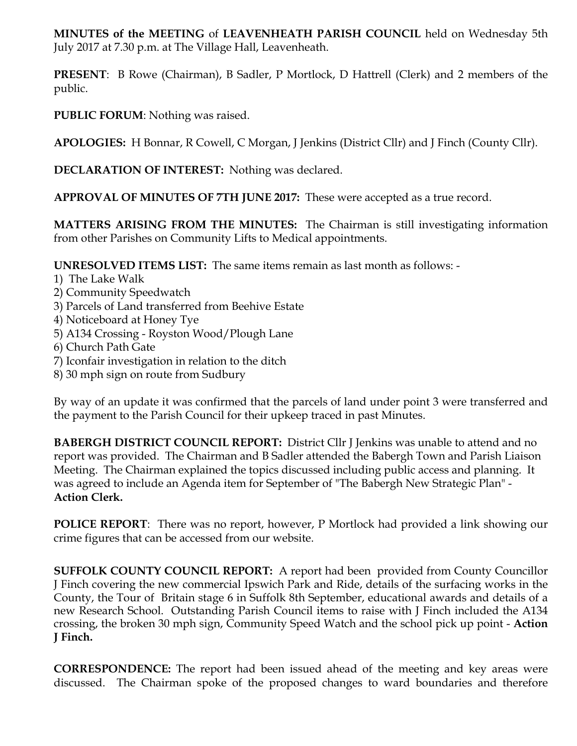**MINUTES of the MEETING** of **LEAVENHEATH PARISH COUNCIL** held on Wednesday 5th July 2017 at 7.30 p.m. at The Village Hall, Leavenheath.

**PRESENT**: B Rowe (Chairman), B Sadler, P Mortlock, D Hattrell (Clerk) and 2 members of the public.

**PUBLIC FORUM**: Nothing was raised.

**APOLOGIES:** H Bonnar, R Cowell, C Morgan, J Jenkins (District Cllr) and J Finch (County Cllr).

**DECLARATION OF INTEREST:** Nothing was declared.

**APPROVAL OF MINUTES OF 7TH JUNE 2017:** These were accepted as a true record.

**MATTERS ARISING FROM THE MINUTES:** The Chairman is still investigating information from other Parishes on Community Lifts to Medical appointments.

**UNRESOLVED ITEMS LIST:** The same items remain as last month as follows: -

- 1) The Lake Walk
- 2) Community Speedwatch
- 3) Parcels of Land transferred from Beehive Estate
- 4) Noticeboard at Honey Tye
- 5) A134 Crossing Royston Wood/Plough Lane
- 6) Church Path Gate
- 7) Iconfair investigation in relation to the ditch
- 8) 30 mph sign on route from Sudbury

By way of an update it was confirmed that the parcels of land under point 3 were transferred and the payment to the Parish Council for their upkeep traced in past Minutes.

**BABERGH DISTRICT COUNCIL REPORT:** District Cllr J Jenkins was unable to attend and no report was provided. The Chairman and B Sadler attended the Babergh Town and Parish Liaison Meeting. The Chairman explained the topics discussed including public access and planning. It was agreed to include an Agenda item for September of "The Babergh New Strategic Plan" - **Action Clerk.**

**POLICE REPORT**: There was no report, however, P Mortlock had provided a link showing our crime figures that can be accessed from our website.

**SUFFOLK COUNTY COUNCIL REPORT:** A report had been provided from County Councillor J Finch covering the new commercial Ipswich Park and Ride, details of the surfacing works in the County, the Tour of Britain stage 6 in Suffolk 8th September, educational awards and details of a new Research School. Outstanding Parish Council items to raise with J Finch included the A134 crossing, the broken 30 mph sign, Community Speed Watch and the school pick up point - **Action J Finch.** 

**CORRESPONDENCE:** The report had been issued ahead of the meeting and key areas were discussed. The Chairman spoke of the proposed changes to ward boundaries and therefore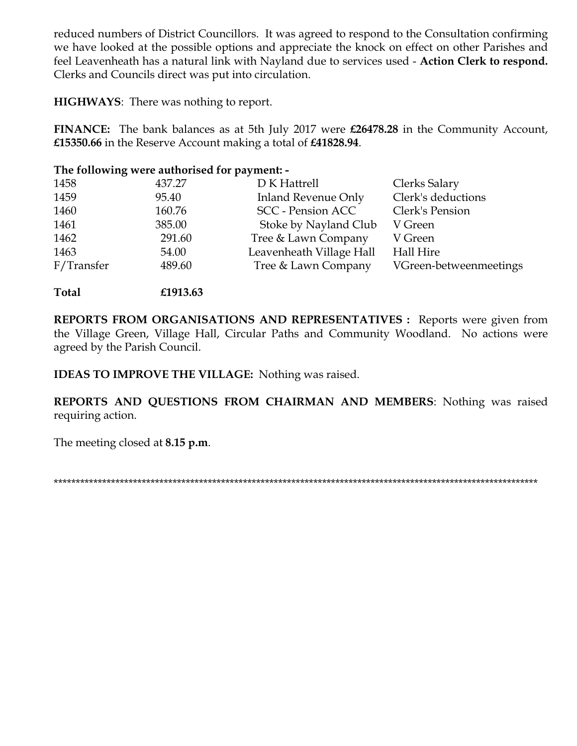reduced numbers of District Councillors. It was agreed to respond to the Consultation confirming we have looked at the possible options and appreciate the knock on effect on other Parishes and feel Leavenheath has a natural link with Nayland due to services used - Action Clerk to respond. Clerks and Councils direct was put into circulation.

**HIGHWAYS:** There was nothing to report.

FINANCE: The bank balances as at 5th July 2017 were £26478.28 in the Community Account, £15350.66 in the Reserve Account making a total of £41828.94.

## The following were authorised for payment: -

| 1458       | 437.27 | D K Hattrell               | Clerks Salary          |
|------------|--------|----------------------------|------------------------|
| 1459       | 95.40  | <b>Inland Revenue Only</b> | Clerk's deductions     |
| 1460       | 160.76 | <b>SCC</b> - Pension ACC   | Clerk's Pension        |
| 1461       | 385.00 | Stoke by Nayland Club      | V Green                |
| 1462       | 291.60 | Tree & Lawn Company        | V Green                |
| 1463       | 54.00  | Leavenheath Village Hall   | Hall Hire              |
| F/Transfer | 489.60 | Tree & Lawn Company        | VGreen-betweenmeetings |

Total £1913.63

REPORTS FROM ORGANISATIONS AND REPRESENTATIVES : Reports were given from the Village Green, Village Hall, Circular Paths and Community Woodland. No actions were agreed by the Parish Council.

**IDEAS TO IMPROVE THE VILLAGE:** Nothing was raised.

REPORTS AND QUESTIONS FROM CHAIRMAN AND MEMBERS: Nothing was raised requiring action.

The meeting closed at 8.15 p.m.